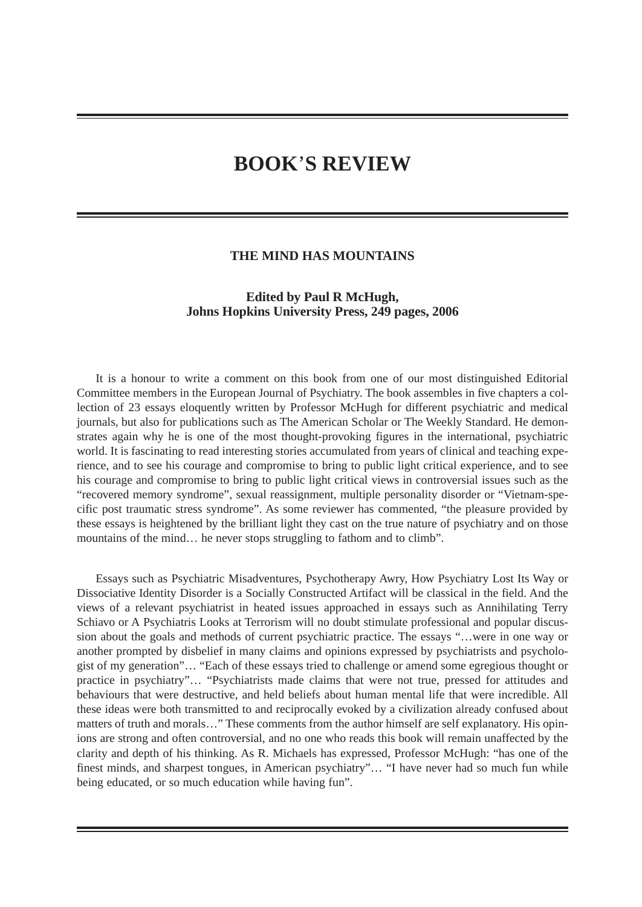## **BOOK**'**S REVIEW**

## **THE MIND HAS MOUNTAINS**

## **Edited by Paul R McHugh, Johns Hopkins University Press, 249 pages, 2006**

It is a honour to write a comment on this book from one of our most distinguished Editorial Committee members in the European Journal of Psychiatry. The book assembles in five chapters a collection of 23 essays eloquently written by Professor McHugh for different psychiatric and medical journals, but also for publications such as The American Scholar or The Weekly Standard. He demonstrates again why he is one of the most thought-provoking figures in the international, psychiatric world. It is fascinating to read interesting stories accumulated from years of clinical and teaching experience, and to see his courage and compromise to bring to public light critical experience, and to see his courage and compromise to bring to public light critical views in controversial issues such as the "recovered memory syndrome", sexual reassignment, multiple personality disorder or "Vietnam-specific post traumatic stress syndrome". As some reviewer has commented, "the pleasure provided by these essays is heightened by the brilliant light they cast on the true nature of psychiatry and on those mountains of the mind... he never stops struggling to fathom and to climb".

Essays such as Psychiatric Misadventures, Psychotherapy Awry, How Psychiatry Lost Its Way or Dissociative Identity Disorder is a Socially Constructed Artifact will be classical in the field. And the views of a relevant psychiatrist in heated issues approached in essays such as Annihilating Terry Schiavo or A Psychiatris Looks at Terrorism will no doubt stimulate professional and popular discussion about the goals and methods of current psychiatric practice. The essays "…were in one way or another prompted by disbelief in many claims and opinions expressed by psychiatrists and psychologist of my generation"… "Each of these essays tried to challenge or amend some egregious thought or practice in psychiatry"… "Psychiatrists made claims that were not true, pressed for attitudes and behaviours that were destructive, and held beliefs about human mental life that were incredible. All these ideas were both transmitted to and reciprocally evoked by a civilization already confused about matters of truth and morals…" These comments from the author himself are self explanatory. His opinions are strong and often controversial, and no one who reads this book will remain unaffected by the clarity and depth of his thinking. As R. Michaels has expressed, Professor McHugh: "has one of the finest minds, and sharpest tongues, in American psychiatry"… "I have never had so much fun while being educated, or so much education while having fun".